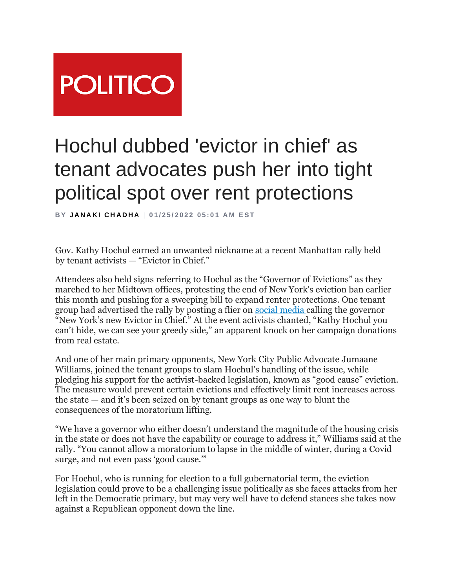

## Hochul dubbed 'evictor in chief' as tenant advocates push her into tight political spot over rent protections

**B Y J A N A K I C H A D H A** | **0 1 / 2 5 / 2 0 2 2 0 5 : 0 1 A M E S T**

Gov. Kathy Hochul earned an unwanted nickname at a recent Manhattan rally held by tenant activists — "Evictor in Chief."

Attendees also held signs referring to Hochul as the "Governor of Evictions" as they marched to her Midtown offices, protesting the end of New York's eviction ban earlier this month and pushing for a sweeping bill to expand renter protections. One tenant group had advertised the rally by posting a flier on [social media](https://twitter.com/CVHaction/status/1481751561055449089?source=email) calling the governor "New York's new Evictor in Chief." At the event activists chanted, "Kathy Hochul you can't hide, we can see your greedy side," an apparent knock on her campaign donations from real estate.

And one of her main primary opponents, New York City Public Advocate Jumaane Williams, joined the tenant groups to slam Hochul's handling of the issue, while pledging his support for the activist-backed legislation, known as "good cause" eviction. The measure would prevent certain evictions and effectively limit rent increases across the state — and it's been seized on by tenant groups as one way to blunt the consequences of the moratorium lifting.

"We have a governor who either doesn't understand the magnitude of the housing crisis in the state or does not have the capability or courage to address it," Williams said at the rally. "You cannot allow a moratorium to lapse in the middle of winter, during a Covid surge, and not even pass 'good cause.'"

For Hochul, who is running for election to a full gubernatorial term, the eviction legislation could prove to be a challenging issue politically as she faces attacks from her left in the Democratic primary, but may very well have to defend stances she takes now against a Republican opponent down the line.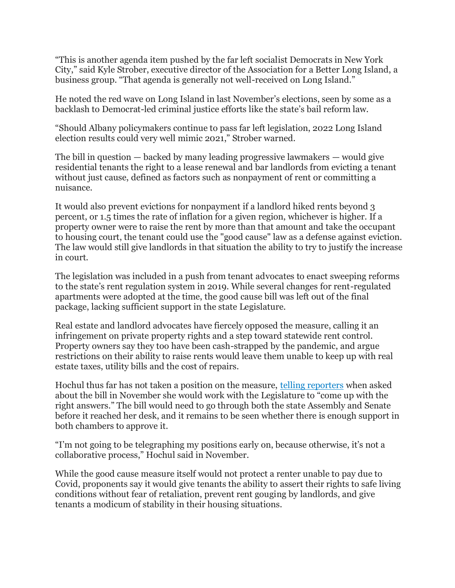"This is another agenda item pushed by the far left socialist Democrats in New York City," said Kyle Strober, executive director of the Association for a Better Long Island, a business group. "That agenda is generally not well-received on Long Island."

He noted the red wave on Long Island in last November's elections, seen by some as a backlash to Democrat-led criminal justice efforts like the state's bail reform law.

"Should Albany policymakers continue to pass far left legislation, 2022 Long Island election results could very well mimic 2021," Strober warned.

The bill in question — backed by many leading progressive lawmakers — would give residential tenants the right to a lease renewal and bar landlords from evicting a tenant without just cause, defined as factors such as nonpayment of rent or committing a nuisance.

It would also prevent evictions for nonpayment if a landlord hiked rents beyond 3 percent, or 1.5 times the rate of inflation for a given region, whichever is higher. If a property owner were to raise the rent by more than that amount and take the occupant to housing court, the tenant could use the "good cause" law as a defense against eviction. The law would still give landlords in that situation the ability to try to justify the increase in court.

The legislation was included in a push from tenant advocates to enact sweeping reforms to the state's rent regulation system in 2019. While several changes for rent-regulated apartments were adopted at the time, the good cause bill was left out of the final package, lacking sufficient support in the state Legislature.

Real estate and landlord advocates have fiercely opposed the measure, calling it an infringement on private property rights and a step toward statewide rent control. Property owners say they too have been cash-strapped by the pandemic, and argue restrictions on their ability to raise rents would leave them unable to keep up with real estate taxes, utility bills and the cost of repairs.

Hochul thus far has not taken a position on the measure, [telling reporters](https://www.thecity.nyc/housing/2021/11/15/22784455/rent-shocks-recharge-tenant-rights-albany?source=email) when asked about the bill in November she would work with the Legislature to "come up with the right answers." The bill would need to go through both the state Assembly and Senate before it reached her desk, and it remains to be seen whether there is enough support in both chambers to approve it.

"I'm not going to be telegraphing my positions early on, because otherwise, it's not a collaborative process," Hochul said in November.

While the good cause measure itself would not protect a renter unable to pay due to Covid, proponents say it would give tenants the ability to assert their rights to safe living conditions without fear of retaliation, prevent rent gouging by landlords, and give tenants a modicum of stability in their housing situations.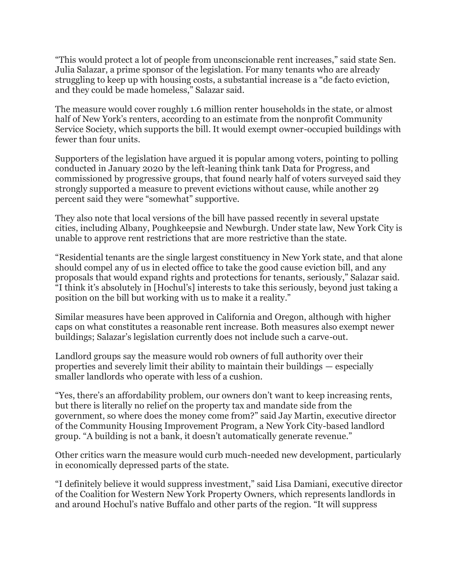"This would protect a lot of people from unconscionable rent increases," said state Sen. Julia Salazar, a prime sponsor of the legislation. For many tenants who are already struggling to keep up with housing costs, a substantial increase is a "de facto eviction, and they could be made homeless," Salazar said.

The measure would cover roughly 1.6 million renter households in the state, or almost half of New York's renters, according to an estimate from the nonprofit Community Service Society, which supports the bill. It would exempt owner-occupied buildings with fewer than four units.

Supporters of the legislation have argued it is popular among voters, pointing to polling conducted in January 2020 by the left-leaning think tank Data for Progress, and commissioned by progressive groups, that found nearly half of voters surveyed said they strongly supported a measure to prevent evictions without cause, while another 29 percent said they were "somewhat" supportive.

They also note that local versions of the bill have passed recently in several upstate cities, including Albany, Poughkeepsie and Newburgh. Under state law, New York City is unable to approve rent restrictions that are more restrictive than the state.

"Residential tenants are the single largest constituency in New York state, and that alone should compel any of us in elected office to take the good cause eviction bill, and any proposals that would expand rights and protections for tenants, seriously," Salazar said. "I think it's absolutely in [Hochul's] interests to take this seriously, beyond just taking a position on the bill but working with us to make it a reality."

Similar measures have been approved in California and Oregon, although with higher caps on what constitutes a reasonable rent increase. Both measures also exempt newer buildings; Salazar's legislation currently does not include such a carve-out.

Landlord groups say the measure would rob owners of full authority over their properties and severely limit their ability to maintain their buildings — especially smaller landlords who operate with less of a cushion.

"Yes, there's an affordability problem, our owners don't want to keep increasing rents, but there is literally no relief on the property tax and mandate side from the government, so where does the money come from?" said Jay Martin, executive director of the Community Housing Improvement Program, a New York City-based landlord group. "A building is not a bank, it doesn't automatically generate revenue."

Other critics warn the measure would curb much-needed new development, particularly in economically depressed parts of the state.

"I definitely believe it would suppress investment," said Lisa Damiani, executive director of the Coalition for Western New York Property Owners, which represents landlords in and around Hochul's native Buffalo and other parts of the region. "It will suppress